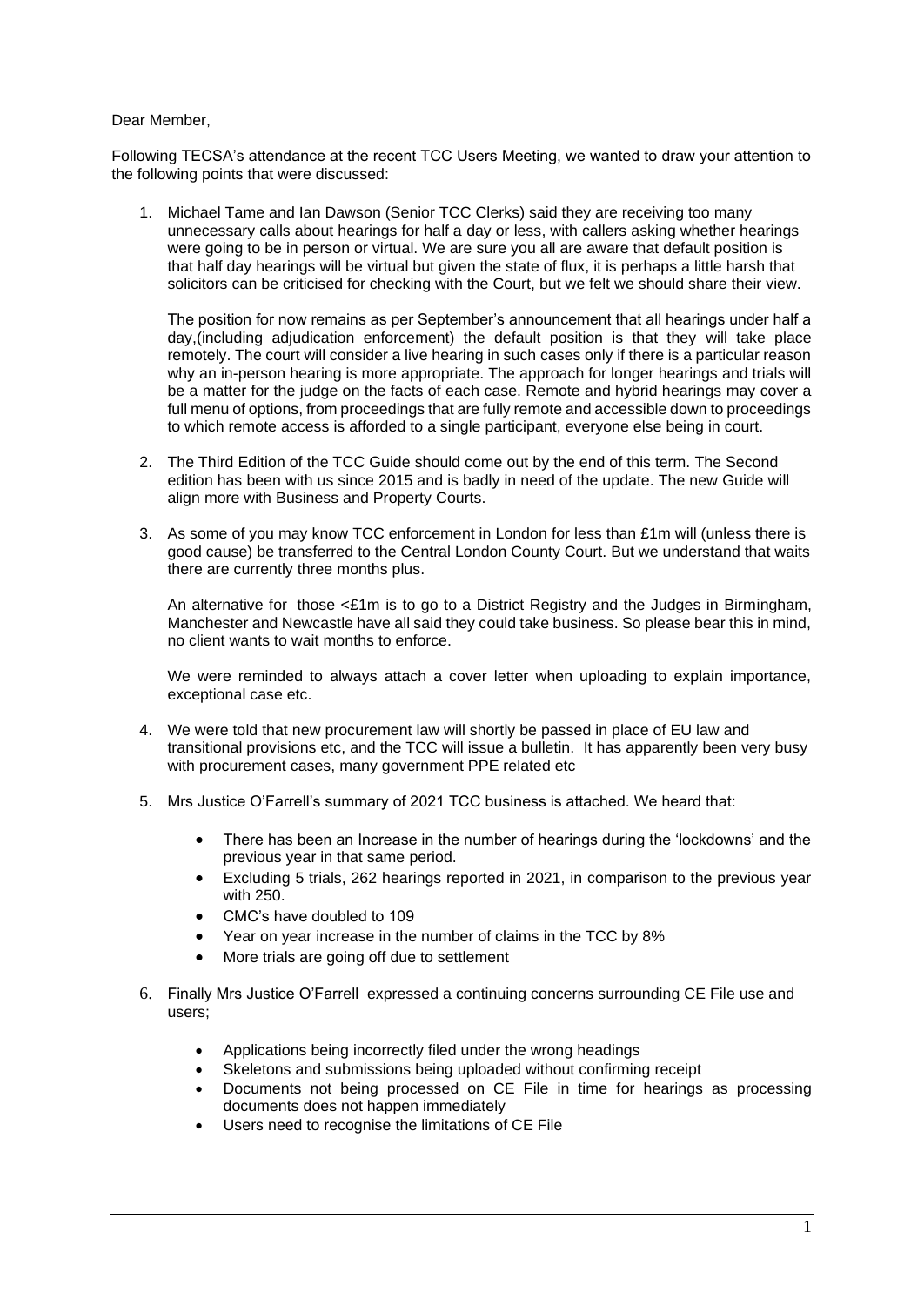## Dear Member,

Following TECSA's attendance at the recent TCC Users Meeting, we wanted to draw your attention to the following points that were discussed:

1. Michael Tame and Ian Dawson (Senior TCC Clerks) said they are receiving too many unnecessary calls about hearings for half a day or less, with callers asking whether hearings were going to be in person or virtual. We are sure you all are aware that default position is that half day hearings will be virtual but given the state of flux, it is perhaps a little harsh that solicitors can be criticised for checking with the Court, but we felt we should share their view.

The position for now remains as per September's announcement that all hearings under half a day,(including adjudication enforcement) the default position is that they will take place remotely. The court will consider a live hearing in such cases only if there is a particular reason why an in-person hearing is more appropriate. The approach for longer hearings and trials will be a matter for the judge on the facts of each case. Remote and hybrid hearings may cover a full menu of options, from proceedings that are fully remote and accessible down to proceedings to which remote access is afforded to a single participant, everyone else being in court.

- 2. The Third Edition of the TCC Guide should come out by the end of this term. The Second edition has been with us since 2015 and is badly in need of the update. The new Guide will align more with Business and Property Courts.
- 3. As some of you may know TCC enforcement in London for less than £1m will (unless there is good cause) be transferred to the Central London County Court. But we understand that waits there are currently three months plus.

An alternative for those  $\leq \pounds 1$ m is to go to a District Registry and the Judges in Birmingham, Manchester and Newcastle have all said they could take business. So please bear this in mind, no client wants to wait months to enforce.

We were reminded to always attach a cover letter when uploading to explain importance, exceptional case etc.

- 4. We were told that new procurement law will shortly be passed in place of EU law and transitional provisions etc, and the TCC will issue a bulletin. It has apparently been very busy with procurement cases, many government PPE related etc
- 5. Mrs Justice O'Farrell's summary of 2021 TCC business is attached. We heard that:
	- There has been an Increase in the number of hearings during the 'lockdowns' and the previous year in that same period.
	- Excluding 5 trials, 262 hearings reported in 2021, in comparison to the previous year with 250
	- CMC's have doubled to 109
	- Year on year increase in the number of claims in the TCC by 8%
	- More trials are going off due to settlement
- 6. Finally Mrs Justice O'Farrell expressed a continuing concerns surrounding CE File use and users;
	- Applications being incorrectly filed under the wrong headings
	- Skeletons and submissions being uploaded without confirming receipt
	- Documents not being processed on CE File in time for hearings as processing documents does not happen immediately
	- Users need to recognise the limitations of CE File